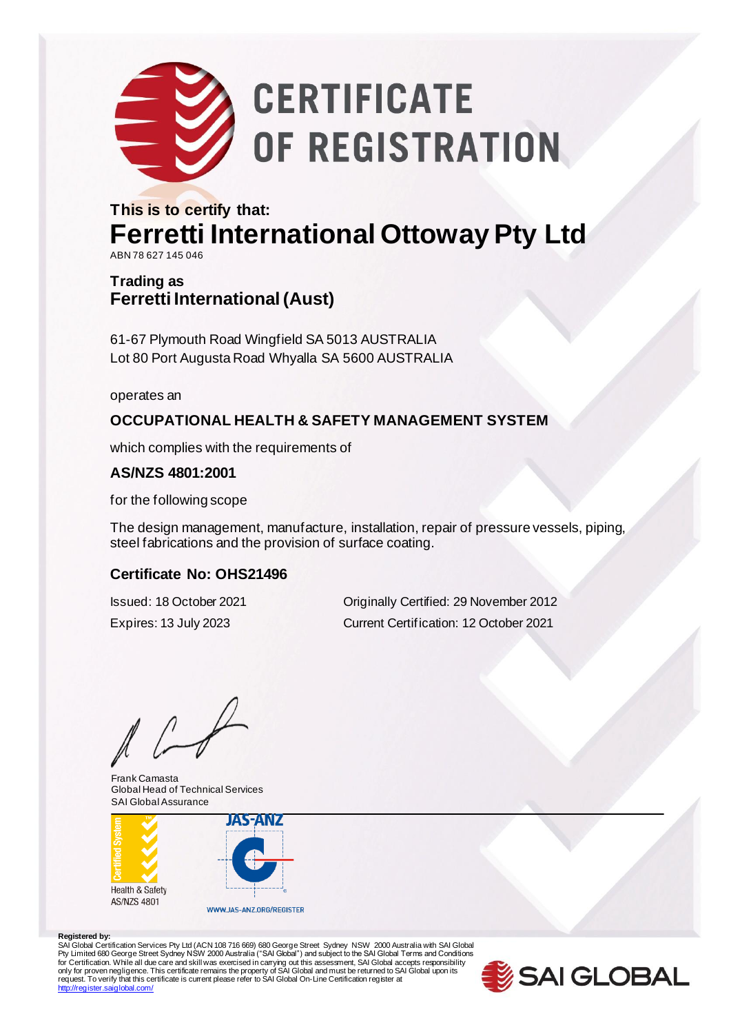

# **CERTIFICATE** OF REGISTRATION

#### **This is to certify that: Ferretti International Ottoway Pty Ltd** ABN 78 627 145 046

#### **Trading as Ferretti International (Aust)**

61-67 Plymouth Road Wingfield SA 5013 AUSTRALIA Lot 80 Port Augusta Road Whyalla SA 5600 AUSTRALIA

operates an

#### **OCCUPATIONAL HEALTH & SAFETY MANAGEMENT SYSTEM**

which complies with the requirements of

#### **AS/NZS 4801:2001**

for the following scope

The design management, manufacture, installation, repair of pressure vessels, piping, steel fabrications and the provision of surface coating.

#### **Certificate No: OHS21496**

Issued: 18 October 2021 Originally Certified: 29 November 2012 Expires: 13 July 2023 Current Certification: 12 October 2021

Frank Camasta Global Head of Technical Services SAI Global Assurance



#### **Registered by:**

SAI Global Certification Services Pty Ltd (ACN 108 716 669) 680 George Street Sydney NSW 2000 Australia with SAI Global<br>Pty Limited 680 George Street Sydney NSW 2000 Australia ("SAI Global") and subject to the SAI Global T <http://register.saiglobal.com/>